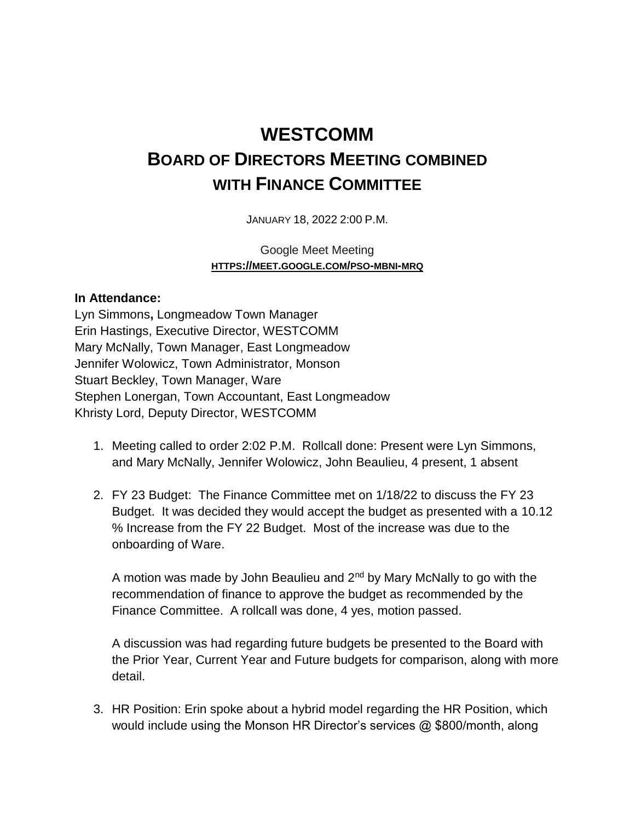## **WESTCOMM BOARD OF DIRECTORS MEETING COMBINED WITH FINANCE COMMITTEE**

JANUARY 18, 2022 2:00 P.M.

Google Meet Meeting **HTTPS://MEET.GOOGLE.COM/PSO-MBNI-MRQ**

## **In Attendance:**

Lyn Simmons**,** Longmeadow Town Manager Erin Hastings, Executive Director, WESTCOMM Mary McNally, Town Manager, East Longmeadow Jennifer Wolowicz, Town Administrator, Monson Stuart Beckley, Town Manager, Ware Stephen Lonergan, Town Accountant, East Longmeadow Khristy Lord, Deputy Director, WESTCOMM

- 1. Meeting called to order 2:02 P.M. Rollcall done: Present were Lyn Simmons, and Mary McNally, Jennifer Wolowicz, John Beaulieu, 4 present, 1 absent
- 2. FY 23 Budget: The Finance Committee met on 1/18/22 to discuss the FY 23 Budget. It was decided they would accept the budget as presented with a 10.12 % Increase from the FY 22 Budget. Most of the increase was due to the onboarding of Ware.

A motion was made by John Beaulieu and  $2<sup>nd</sup>$  by Mary McNally to go with the recommendation of finance to approve the budget as recommended by the Finance Committee. A rollcall was done, 4 yes, motion passed.

A discussion was had regarding future budgets be presented to the Board with the Prior Year, Current Year and Future budgets for comparison, along with more detail.

3. HR Position: Erin spoke about a hybrid model regarding the HR Position, which would include using the Monson HR Director's services @ \$800/month, along